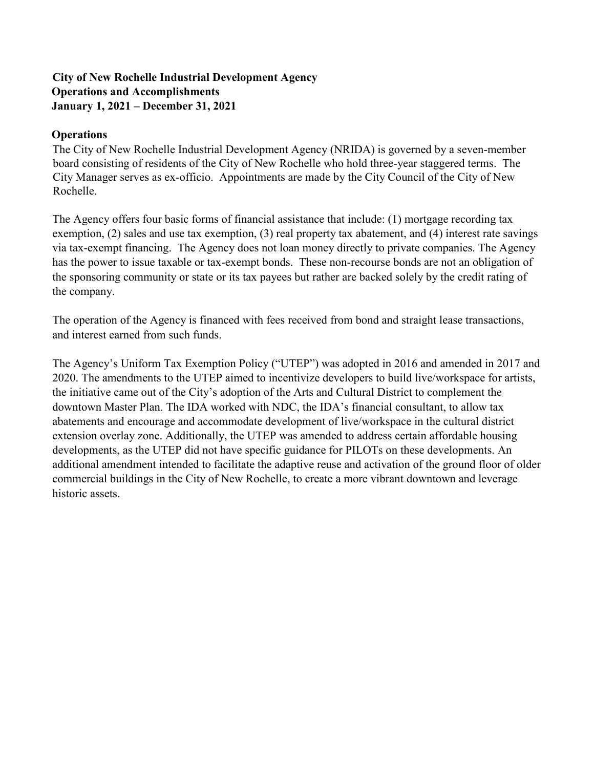### **City of New Rochelle Industrial Development Agency Operations and Accomplishments January 1, 2021 – December 31, 2021**

#### **Operations**

The City of New Rochelle Industrial Development Agency (NRIDA) is governed by a seven-member board consisting of residents of the City of New Rochelle who hold three-year staggered terms. The City Manager serves as ex-officio. Appointments are made by the City Council of the City of New Rochelle.

The Agency offers four basic forms of financial assistance that include: (1) mortgage recording tax exemption, (2) sales and use tax exemption, (3) real property tax abatement, and (4) interest rate savings via tax-exempt financing. The Agency does not loan money directly to private companies. The Agency has the power to issue taxable or tax-exempt bonds. These non-recourse bonds are not an obligation of the sponsoring community or state or its tax payees but rather are backed solely by the credit rating of the company.

The operation of the Agency is financed with fees received from bond and straight lease transactions, and interest earned from such funds.

The Agency's Uniform Tax Exemption Policy ("UTEP") was adopted in 2016 and amended in 2017 and 2020. The amendments to the UTEP aimed to incentivize developers to build live/workspace for artists, the initiative came out of the City's adoption of the Arts and Cultural District to complement the downtown Master Plan. The IDA worked with NDC, the IDA's financial consultant, to allow tax abatements and encourage and accommodate development of live/workspace in the cultural district extension overlay zone. Additionally, the UTEP was amended to address certain affordable housing developments, as the UTEP did not have specific guidance for PILOTs on these developments. An additional amendment intended to facilitate the adaptive reuse and activation of the ground floor of older commercial buildings in the City of New Rochelle, to create a more vibrant downtown and leverage historic assets.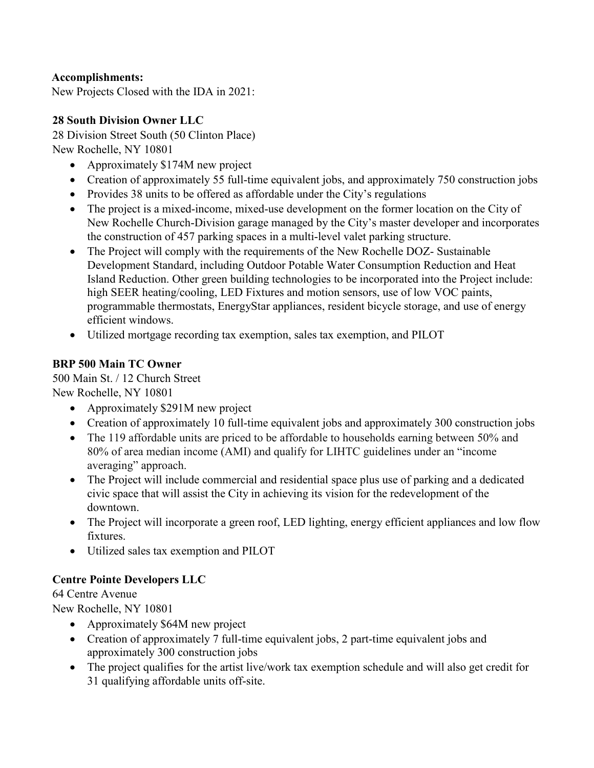#### **Accomplishments:**

New Projects Closed with the IDA in 2021:

#### **28 South Division Owner LLC**

28 Division Street South (50 Clinton Place) New Rochelle, NY 10801

- Approximately \$174M new project
- Creation of approximately 55 full-time equivalent jobs, and approximately 750 construction jobs
- Provides 38 units to be offered as affordable under the City's regulations
- The project is a mixed-income, mixed-use development on the former location on the City of New Rochelle Church-Division garage managed by the City's master developer and incorporates the construction of 457 parking spaces in a multi-level valet parking structure.
- The Project will comply with the requirements of the New Rochelle DOZ- Sustainable Development Standard, including Outdoor Potable Water Consumption Reduction and Heat Island Reduction. Other green building technologies to be incorporated into the Project include: high SEER heating/cooling, LED Fixtures and motion sensors, use of low VOC paints, programmable thermostats, EnergyStar appliances, resident bicycle storage, and use of energy efficient windows.
- Utilized mortgage recording tax exemption, sales tax exemption, and PILOT

### **BRP 500 Main TC Owner**

500 Main St. / 12 Church Street New Rochelle, NY 10801

- Approximately \$291M new project
- Creation of approximately 10 full-time equivalent jobs and approximately 300 construction jobs
- The 119 affordable units are priced to be affordable to households earning between 50% and 80% of area median income (AMI) and qualify for LIHTC guidelines under an "income averaging" approach.
- The Project will include commercial and residential space plus use of parking and a dedicated civic space that will assist the City in achieving its vision for the redevelopment of the downtown.
- The Project will incorporate a green roof, LED lighting, energy efficient appliances and low flow fixtures.
- Utilized sales tax exemption and PILOT

### **Centre Pointe Developers LLC**

64 Centre Avenue

New Rochelle, NY 10801

- Approximately \$64M new project
- Creation of approximately 7 full-time equivalent jobs, 2 part-time equivalent jobs and approximately 300 construction jobs
- The project qualifies for the artist live/work tax exemption schedule and will also get credit for 31 qualifying affordable units off-site.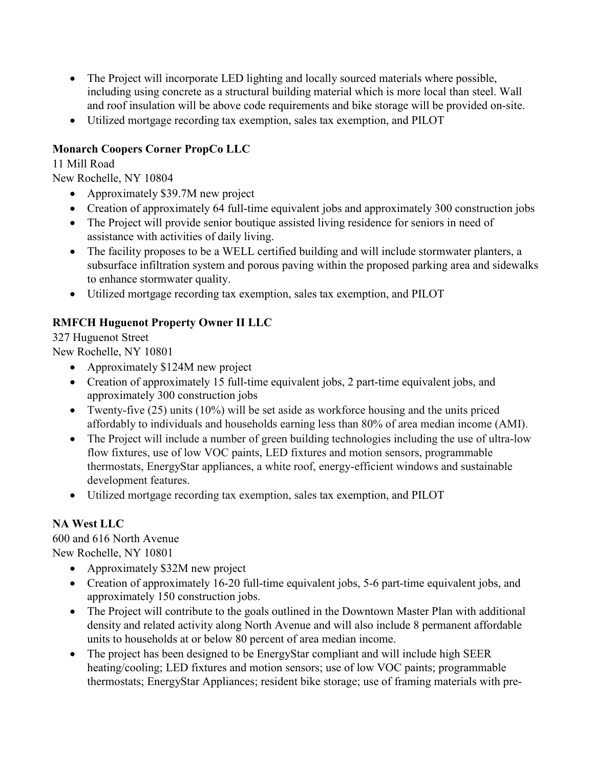- The Project will incorporate LED lighting and locally sourced materials where possible, including using concrete as a structural building material which is more local than steel. Wall and roof insulation will be above code requirements and bike storage will be provided on-site.
- Utilized mortgage recording tax exemption, sales tax exemption, and PILOT

### **Monarch Coopers Corner PropCo LLC**

11 Mill Road

New Rochelle, NY 10804

- Approximately \$39.7M new project
- Creation of approximately 64 full-time equivalent jobs and approximately 300 construction jobs
- The Project will provide senior boutique assisted living residence for seniors in need of assistance with activities of daily living.
- The facility proposes to be a WELL certified building and will include stormwater planters, a subsurface infiltration system and porous paving within the proposed parking area and sidewalks to enhance stormwater quality.
- Utilized mortgage recording tax exemption, sales tax exemption, and PILOT

## **RMFCH Huguenot Property Owner II LLC**

327 Huguenot Street

New Rochelle, NY 10801

- Approximately \$124M new project
- Creation of approximately 15 full-time equivalent jobs, 2 part-time equivalent jobs, and approximately 300 construction jobs
- Twenty-five (25) units (10%) will be set aside as workforce housing and the units priced affordably to individuals and households earning less than 80% of area median income (AMI).
- The Project will include a number of green building technologies including the use of ultra-low flow fixtures, use of low VOC paints, LED fixtures and motion sensors, programmable thermostats, EnergyStar appliances, a white roof, energy-efficient windows and sustainable development features.
- Utilized mortgage recording tax exemption, sales tax exemption, and PILOT

## **NA West LLC**

600 and 616 North Avenue New Rochelle, NY 10801

- Approximately \$32M new project
- Creation of approximately 16-20 full-time equivalent jobs, 5-6 part-time equivalent jobs, and approximately 150 construction jobs.
- The Project will contribute to the goals outlined in the Downtown Master Plan with additional density and related activity along North Avenue and will also include 8 permanent affordable units to households at or below 80 percent of area median income.
- The project has been designed to be EnergyStar compliant and will include high SEER heating/cooling; LED fixtures and motion sensors; use of low VOC paints; programmable thermostats; EnergyStar Appliances; resident bike storage; use of framing materials with pre-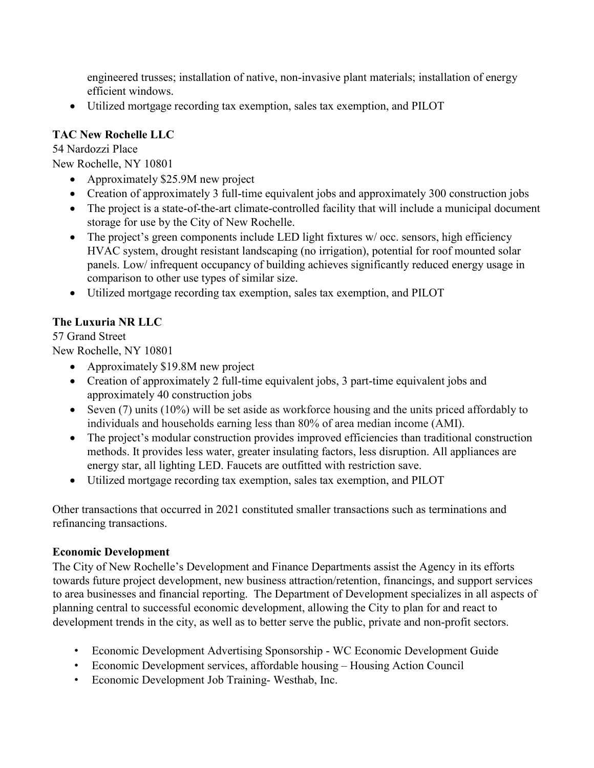engineered trusses; installation of native, non-invasive plant materials; installation of energy efficient windows.

• Utilized mortgage recording tax exemption, sales tax exemption, and PILOT

### **TAC New Rochelle LLC**

54 Nardozzi Place New Rochelle, NY 10801

- Approximately \$25.9M new project
- Creation of approximately 3 full-time equivalent jobs and approximately 300 construction jobs
- The project is a state-of-the-art climate-controlled facility that will include a municipal document storage for use by the City of New Rochelle.
- The project's green components include LED light fixtures w/occ. sensors, high efficiency HVAC system, drought resistant landscaping (no irrigation), potential for roof mounted solar panels. Low/ infrequent occupancy of building achieves significantly reduced energy usage in comparison to other use types of similar size.
- Utilized mortgage recording tax exemption, sales tax exemption, and PILOT

# **The Luxuria NR LLC**

57 Grand Street

New Rochelle, NY 10801

- Approximately \$19.8M new project
- Creation of approximately 2 full-time equivalent jobs, 3 part-time equivalent jobs and approximately 40 construction jobs
- Seven (7) units (10%) will be set aside as workforce housing and the units priced affordably to individuals and households earning less than 80% of area median income (AMI).
- The project's modular construction provides improved efficiencies than traditional construction methods. It provides less water, greater insulating factors, less disruption. All appliances are energy star, all lighting LED. Faucets are outfitted with restriction save.
- Utilized mortgage recording tax exemption, sales tax exemption, and PILOT

Other transactions that occurred in 2021 constituted smaller transactions such as terminations and refinancing transactions.

### **Economic Development**

The City of New Rochelle's Development and Finance Departments assist the Agency in its efforts towards future project development, new business attraction/retention, financings, and support services to area businesses and financial reporting. The Department of Development specializes in all aspects of planning central to successful economic development, allowing the City to plan for and react to development trends in the city, as well as to better serve the public, private and non-profit sectors.

- Economic Development Advertising Sponsorship WC Economic Development Guide
- Economic Development services, affordable housing Housing Action Council
- Economic Development Job Training- Westhab, Inc.